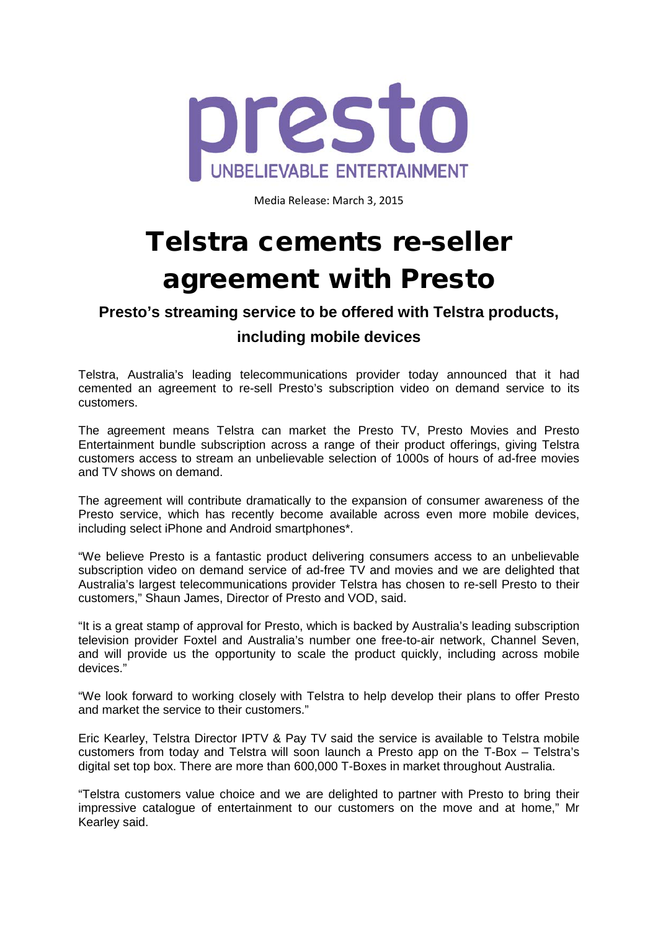

Media Release: March 3, 2015

# Telstra cements re-seller agreement with Presto

## **Presto's streaming service to be offered with Telstra products,**

### **including mobile devices**

Telstra, Australia's leading telecommunications provider today announced that it had cemented an agreement to re-sell Presto's subscription video on demand service to its customers.

The agreement means Telstra can market the Presto TV, Presto Movies and Presto Entertainment bundle subscription across a range of their product offerings, giving Telstra customers access to stream an unbelievable selection of 1000s of hours of ad-free movies and TV shows on demand.

The agreement will contribute dramatically to the expansion of consumer awareness of the Presto service, which has recently become available across even more mobile devices, including select iPhone and Android smartphones\*.

"We believe Presto is a fantastic product delivering consumers access to an unbelievable subscription video on demand service of ad-free TV and movies and we are delighted that Australia's largest telecommunications provider Telstra has chosen to re-sell Presto to their customers," Shaun James, Director of Presto and VOD, said.

"It is a great stamp of approval for Presto, which is backed by Australia's leading subscription television provider Foxtel and Australia's number one free-to-air network, Channel Seven, and will provide us the opportunity to scale the product quickly, including across mobile devices."

"We look forward to working closely with Telstra to help develop their plans to offer Presto and market the service to their customers."

Eric Kearley, Telstra Director IPTV & Pay TV said the service is available to Telstra mobile customers from today and Telstra will soon launch a Presto app on the T-Box – Telstra's digital set top box. There are more than 600,000 T-Boxes in market throughout Australia.

"Telstra customers value choice and we are delighted to partner with Presto to bring their impressive catalogue of entertainment to our customers on the move and at home," Mr Kearley said.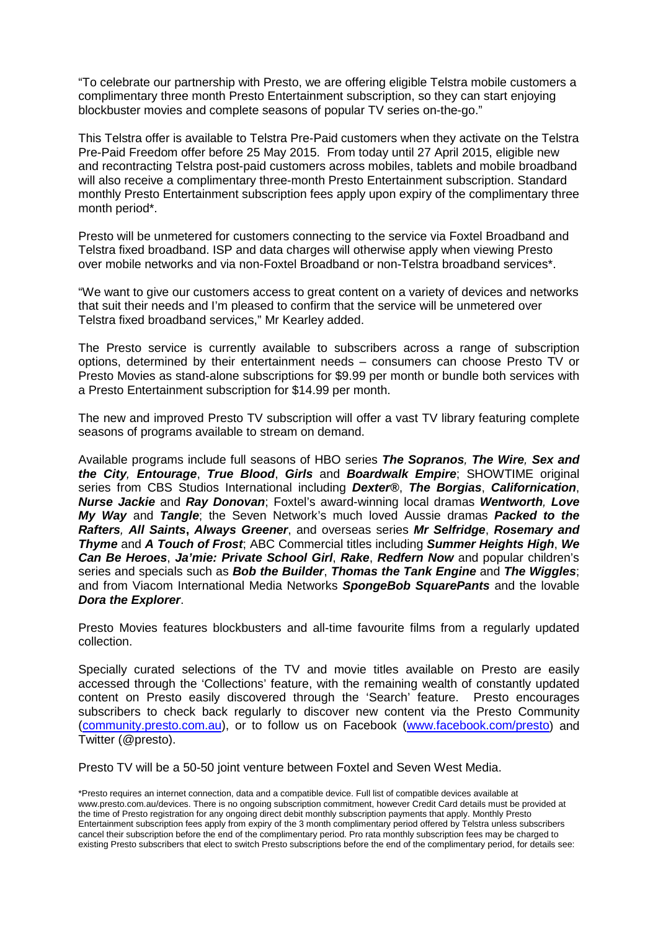"To celebrate our partnership with Presto, we are offering eligible Telstra mobile customers a complimentary three month Presto Entertainment subscription, so they can start enjoying blockbuster movies and complete seasons of popular TV series on-the-go."

This Telstra offer is available to Telstra Pre-Paid customers when they activate on the Telstra Pre-Paid Freedom offer before 25 May 2015. From today until 27 April 2015, eligible new and recontracting Telstra post-paid customers across mobiles, tablets and mobile broadband will also receive a complimentary three-month Presto Entertainment subscription. Standard monthly Presto Entertainment subscription fees apply upon expiry of the complimentary three month period\*.

Presto will be unmetered for customers connecting to the service via Foxtel Broadband and Telstra fixed broadband. ISP and data charges will otherwise apply when viewing Presto over mobile networks and via non-Foxtel Broadband or non-Telstra broadband services\*.

"We want to give our customers access to great content on a variety of devices and networks that suit their needs and I'm pleased to confirm that the service will be unmetered over Telstra fixed broadband services," Mr Kearley added.

The Presto service is currently available to subscribers across a range of subscription options, determined by their entertainment needs – consumers can choose Presto TV or Presto Movies as stand-alone subscriptions for \$9.99 per month or bundle both services with a Presto Entertainment subscription for \$14.99 per month.

The new and improved Presto TV subscription will offer a vast TV library featuring complete seasons of programs available to stream on demand.

Available programs include full seasons of HBO series *The Sopranos, The Wire, Sex and the City, Entourage*, *True Blood*, *Girls* and *Boardwalk Empire*; SHOWTIME original series from CBS Studios International including *Dexter®*, *The Borgias*, *Californication*, *Nurse Jackie* and *Ray Donovan*; Foxtel's award-winning local dramas *Wentworth, Love My Way* and *Tangle*; the Seven Network's much loved Aussie dramas *Packed to the Rafters, All Saints***,** *Always Greener*, and overseas series *Mr Selfridge*, *Rosemary and Thyme* and *A Touch of Frost*; ABC Commercial titles including *Summer Heights High*, *We Can Be Heroes*, *Ja'mie: Private School Girl*, *Rake*, *Redfern Now* and popular children's series and specials such as *Bob the Builder*, *Thomas the Tank Engine* and *The Wiggles*; and from Viacom International Media Networks *SpongeBob SquarePants* and the lovable *Dora the Explorer*.

Presto Movies features blockbusters and all-time favourite films from a regularly updated collection.

Specially curated selections of the TV and movie titles available on Presto are easily accessed through the 'Collections' feature, with the remaining wealth of constantly updated content on Presto easily discovered through the 'Search' feature. Presto encourages subscribers to check back regularly to discover new content via the Presto Community [\(community.presto.com.au\)](http://community.presto.com.au/), or to follow us on Facebook [\(www.facebook.com/presto\)](http://www.facebook.com/presto) and Twitter (@presto).

Presto TV will be a 50-50 joint venture between Foxtel and Seven West Media.

<sup>\*</sup>Presto requires an internet connection, data and a compatible device. Full list of compatible devices available at www.presto.com.au/devices. There is no ongoing subscription commitment, however Credit Card details must be provided at the time of Presto registration for any ongoing direct debit monthly subscription payments that apply. Monthly Presto Entertainment subscription fees apply from expiry of the 3 month complimentary period offered by Telstra unless subscribers cancel their subscription before the end of the complimentary period. Pro rata monthly subscription fees may be charged to existing Presto subscribers that elect to switch Presto subscriptions before the end of the complimentary period, for details see: